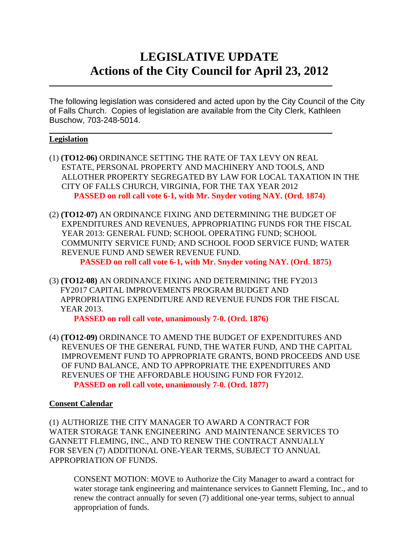# **LEGISLATIVE UPDATE Actions of the City Council for April 23, 2012**

The following legislation was considered and acted upon by the City Council of the City of Falls Church. Copies of legislation are available from the City Clerk, Kathleen Buschow, 703-248-5014.

 $\mathcal{L}_\text{max}$  and  $\mathcal{L}_\text{max}$  and  $\mathcal{L}_\text{max}$  and  $\mathcal{L}_\text{max}$  and  $\mathcal{L}_\text{max}$  and  $\mathcal{L}_\text{max}$ 

 $\mathcal{L}_\text{max}$  and  $\mathcal{L}_\text{max}$  and  $\mathcal{L}_\text{max}$  and  $\mathcal{L}_\text{max}$  and  $\mathcal{L}_\text{max}$  and  $\mathcal{L}_\text{max}$ 

# **Legislation**

- (1) **(TO12-06)** ORDINANCE SETTING THE RATE OF TAX LEVY ON REAL ESTATE, PERSONAL PROPERTY AND MACHINERY AND TOOLS, AND ALLOTHER PROPERTY SEGREGATED BY LAW FOR LOCAL TAXATION IN THE CITY OF FALLS CHURCH, VIRGINIA, FOR THE TAX YEAR 2012  **PASSED on roll call vote 6-1, with Mr. Snyder voting NAY. (Ord. 1874)**
- (2) **(TO12-07)** AN ORDINANCE FIXING AND DETERMINING THE BUDGET OF EXPENDITURES AND REVENUES, APPROPRIATING FUNDS FOR THE FISCAL YEAR 2013: GENERAL FUND; SCHOOL OPERATING FUND; SCHOOL COMMUNITY SERVICE FUND; AND SCHOOL FOOD SERVICE FUND; WATER REVENUE FUND AND SEWER REVENUE FUND.

 **PASSED on roll call vote 6-1, with Mr. Snyder voting NAY. (Ord. 1875)** 

(3) **(TO12-08)** AN ORDINANCE FIXING AND DETERMINING THE FY2013 FY2017 CAPITAL IMPROVEMENTS PROGRAM BUDGET AND APPROPRIATING EXPENDITURE AND REVENUE FUNDS FOR THE FISCAL YEAR 2013.

 **PASSED on roll call vote, unanimously 7-0. (Ord. 1876)** 

(4) **(TO12-09)** ORDINANCE TO AMEND THE BUDGET OF EXPENDITURES AND REVENUES OF THE GENERAL FUND, THE WATER FUND, AND THE CAPITAL IMPROVEMENT FUND TO APPROPRIATE GRANTS, BOND PROCEEDS AND USE OF FUND BALANCE, AND TO APPROPRIATE THE EXPENDITURES AND REVENUES OF THE AFFORDABLE HOUSING FUND FOR FY2012.  **PASSED on roll call vote, unanimously 7-0. (Ord. 1877)** 

# **Consent Calendar**

(1) AUTHORIZE THE CITY MANAGER TO AWARD A CONTRACT FOR WATER STORAGE TANK ENGINEERING AND MAINTENANCE SERVICES TO GANNETT FLEMING, INC., AND TO RENEW THE CONTRACT ANNUALLY FOR SEVEN (7) ADDITIONAL ONE-YEAR TERMS, SUBJECT TO ANNUAL APPROPRIATION OF FUNDS.

CONSENT MOTION: MOVE to Authorize the City Manager to award a contract for water storage tank engineering and maintenance services to Gannett Fleming, Inc., and to renew the contract annually for seven (7) additional one-year terms, subject to annual appropriation of funds.